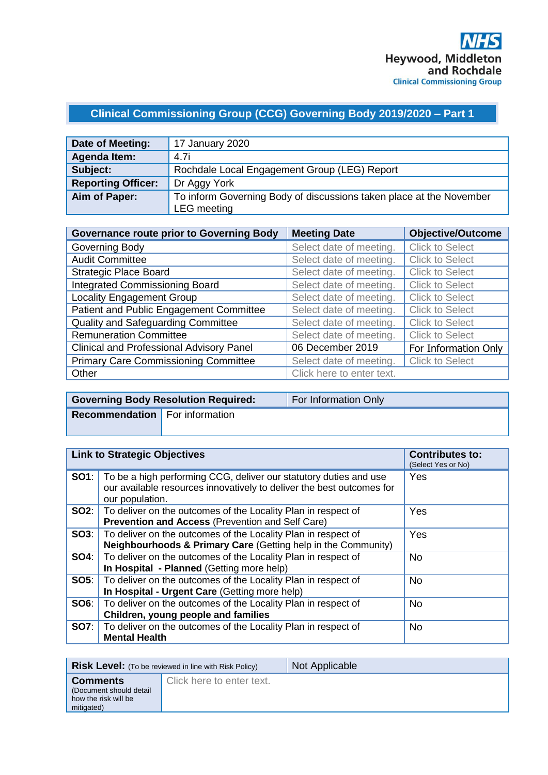# **Clinical Commissioning Group (CCG) Governing Body 2019/2020 – Part 1**

| Date of Meeting:          | 17 January 2020                                                     |
|---------------------------|---------------------------------------------------------------------|
| Agenda Item:              | 4.7i                                                                |
| Subject:                  | Rochdale Local Engagement Group (LEG) Report                        |
| <b>Reporting Officer:</b> | Dr Aggy York                                                        |
| Aim of Paper:             | To inform Governing Body of discussions taken place at the November |
|                           | <b>LEG</b> meeting                                                  |

| <b>Governance route prior to Governing Body</b> | <b>Meeting Date</b>       | <b>Objective/Outcome</b> |
|-------------------------------------------------|---------------------------|--------------------------|
| Governing Body                                  | Select date of meeting.   | <b>Click to Select</b>   |
| <b>Audit Committee</b>                          | Select date of meeting.   | <b>Click to Select</b>   |
| <b>Strategic Place Board</b>                    | Select date of meeting.   | <b>Click to Select</b>   |
| <b>Integrated Commissioning Board</b>           | Select date of meeting.   | <b>Click to Select</b>   |
| <b>Locality Engagement Group</b>                | Select date of meeting.   | <b>Click to Select</b>   |
| Patient and Public Engagement Committee         | Select date of meeting.   | <b>Click to Select</b>   |
| <b>Quality and Safeguarding Committee</b>       | Select date of meeting.   | <b>Click to Select</b>   |
| <b>Remuneration Committee</b>                   | Select date of meeting.   | <b>Click to Select</b>   |
| <b>Clinical and Professional Advisory Panel</b> | 06 December 2019          | For Information Only     |
| <b>Primary Care Commissioning Committee</b>     | Select date of meeting.   | <b>Click to Select</b>   |
| Other                                           | Click here to enter text. |                          |

|                                       | <b>Governing Body Resolution Required:</b> | For Information Only |
|---------------------------------------|--------------------------------------------|----------------------|
| <b>Recommendation</b> For information |                                            |                      |
|                                       |                                            |                      |

| <b>Link to Strategic Objectives</b> |                                                                                                                                                               | <b>Contributes to:</b><br>(Select Yes or No) |
|-------------------------------------|---------------------------------------------------------------------------------------------------------------------------------------------------------------|----------------------------------------------|
| SO1:                                | To be a high performing CCG, deliver our statutory duties and use<br>our available resources innovatively to deliver the best outcomes for<br>our population. | Yes                                          |
| SO2:                                | To deliver on the outcomes of the Locality Plan in respect of<br><b>Prevention and Access (Prevention and Self Care)</b>                                      | Yes                                          |
| SOS:                                | To deliver on the outcomes of the Locality Plan in respect of<br>Neighbourhoods & Primary Care (Getting help in the Community)                                | Yes                                          |
| SO4:                                | To deliver on the outcomes of the Locality Plan in respect of<br>In Hospital - Planned (Getting more help)                                                    | <b>No</b>                                    |
| <b>SO5:</b>                         | To deliver on the outcomes of the Locality Plan in respect of<br>In Hospital - Urgent Care (Getting more help)                                                | <b>No</b>                                    |
| SO6:                                | To deliver on the outcomes of the Locality Plan in respect of<br>Children, young people and families                                                          | <b>No</b>                                    |
| <b>SO7:</b>                         | To deliver on the outcomes of the Locality Plan in respect of<br><b>Mental Health</b>                                                                         | <b>No</b>                                    |

|                                                                                   | <b>Risk Level:</b> (To be reviewed in line with Risk Policy) | Not Applicable |
|-----------------------------------------------------------------------------------|--------------------------------------------------------------|----------------|
| <b>Comments</b><br>(Document should detail)<br>how the risk will be<br>mitigated) | Click here to enter text.                                    |                |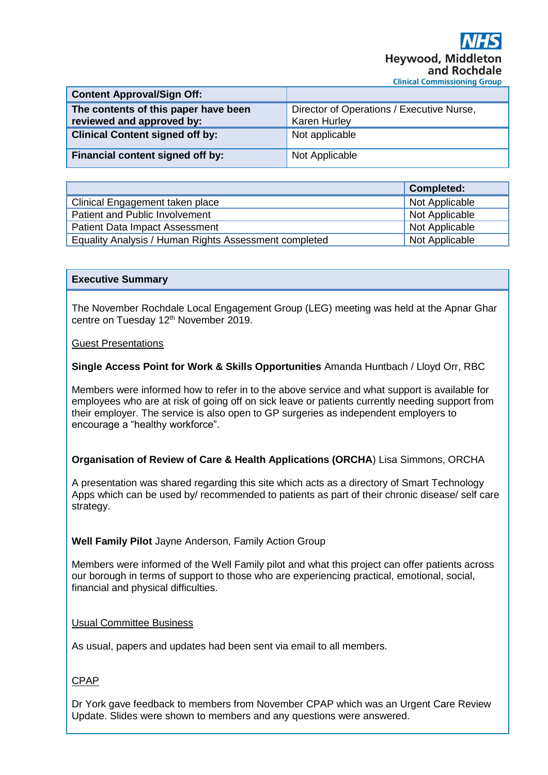| <b>Content Approval/Sign Off:</b>                                 |                                                                  |
|-------------------------------------------------------------------|------------------------------------------------------------------|
| The contents of this paper have been<br>reviewed and approved by: | Director of Operations / Executive Nurse,<br><b>Karen Hurley</b> |
| <b>Clinical Content signed off by:</b>                            | Not applicable                                                   |
| Financial content signed off by:                                  | Not Applicable                                                   |

|                                                       | <b>Completed:</b> |
|-------------------------------------------------------|-------------------|
| Clinical Engagement taken place                       | Not Applicable    |
| Patient and Public Involvement                        | Not Applicable    |
| <b>Patient Data Impact Assessment</b>                 | Not Applicable    |
| Equality Analysis / Human Rights Assessment completed | Not Applicable    |

#### **Executive Summary**

The November Rochdale Local Engagement Group (LEG) meeting was held at the Apnar Ghar centre on Tuesday 12<sup>th</sup> November 2019.

#### Guest Presentations

**Single Access Point for Work & Skills Opportunities** Amanda Huntbach / Lloyd Orr, RBC

Members were informed how to refer in to the above service and what support is available for employees who are at risk of going off on sick leave or patients currently needing support from their employer. The service is also open to GP surgeries as independent employers to encourage a "healthy workforce".

## **Organisation of Review of Care & Health Applications (ORCHA**) Lisa Simmons, ORCHA

A presentation was shared regarding this site which acts as a directory of Smart Technology Apps which can be used by/ recommended to patients as part of their chronic disease/ self care strategy.

## **Well Family Pilot** Jayne Anderson, Family Action Group

Members were informed of the Well Family pilot and what this project can offer patients across our borough in terms of support to those who are experiencing practical, emotional, social, financial and physical difficulties.

#### Usual Committee Business

As usual, papers and updates had been sent via email to all members.

## CPAP

Dr York gave feedback to members from November CPAP which was an Urgent Care Review Update. Slides were shown to members and any questions were answered.